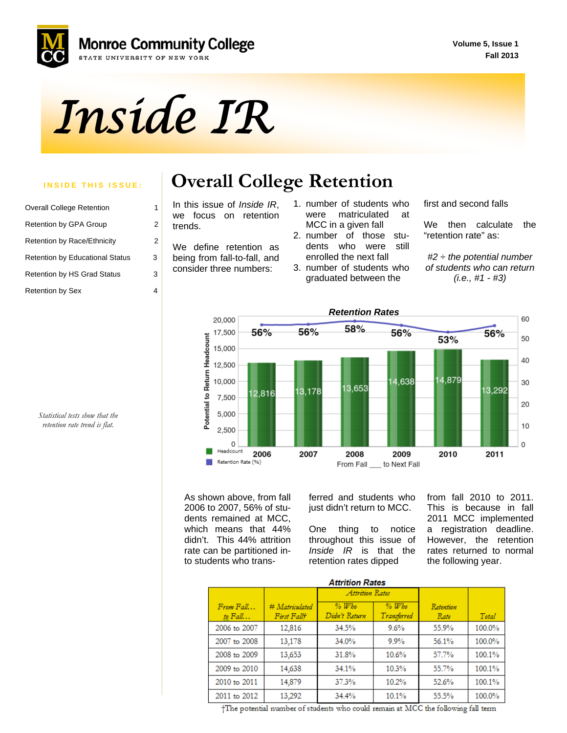**Volume 5, Issue 1 Fall 2013**



# *Inside IR*

| <b>Overall College Retention</b>       |   |
|----------------------------------------|---|
| <b>Retention by GPA Group</b>          | 2 |
| <b>Retention by Race/Ethnicity</b>     | 2 |
| <b>Retention by Educational Status</b> | 3 |
| <b>Retention by HS Grad Status</b>     | 3 |
| <b>Retention by Sex</b>                |   |

#### **INSIDE THIS ISSUE: Overall College Retention**

In this issue of *Inside IR*, we focus on retention trends.

We define retention as being from fall-to-fall, and consider three numbers:

- 1. number of students who were matriculated at MCC in a given fall
- 2. number of those students who were still enrolled the next fall
- 3. number of students who graduated between the

first and second falls

We then calculate the "retention rate" as:

*#2 ÷ the potential number of students who can return (i.e., #1 - #3)* 



As shown above, from fall 2006 to 2007, 56% of students remained at MCC, which means that 44% didn't. This 44% attrition rate can be partitioned into students who trans-

ferred and students who just didn't return to MCC.

One thing to notice throughout this issue of *Inside IR* is that the retention rates dipped

from fall 2010 to 2011. This is because in fall 2011 MCC implemented a registration deadline. However, the retention rates returned to normal the following year.

| <b>Attrition Rates</b>     |                               |                          |                        |                   |        |  |  |  |
|----------------------------|-------------------------------|--------------------------|------------------------|-------------------|--------|--|--|--|
|                            |                               | Attrition Rates          |                        |                   |        |  |  |  |
| $From$ $Fall$<br>to $Fall$ | # Matriculated<br>First Fallt | $%$ Who<br>Didn't Return | $%$ Who<br>Transferred | Retention<br>Rate | Total  |  |  |  |
| 2006 to 2007               | 12,816                        | 34.5%                    | 9.6%                   | 55.9%             | 100.0% |  |  |  |
| 2007 to 2008               | 13,178                        | 34.0%                    | $9.9\%$                | 56.1%             | 100.0% |  |  |  |
| 2008 to 2009               | 13,653                        | 31.8%                    | 10.6%                  | 57.7%             | 100.1% |  |  |  |
| 2009 to 2010               | 14,638                        | 34.1%                    | 10.3%                  | 55.7%             | 100.1% |  |  |  |
| 2010 to 2011               | 14,879                        | 37.3%                    | 10.2%                  | 52.6%             | 100.1% |  |  |  |
| 2011 to 2012               | 13,292                        | 34.4%                    | 10.1%                  | 55.5%             | 100.0% |  |  |  |

*Statistical tests show that the retention rate trend is flat.* 

†The potential number of students who could remain at MCC the following fall term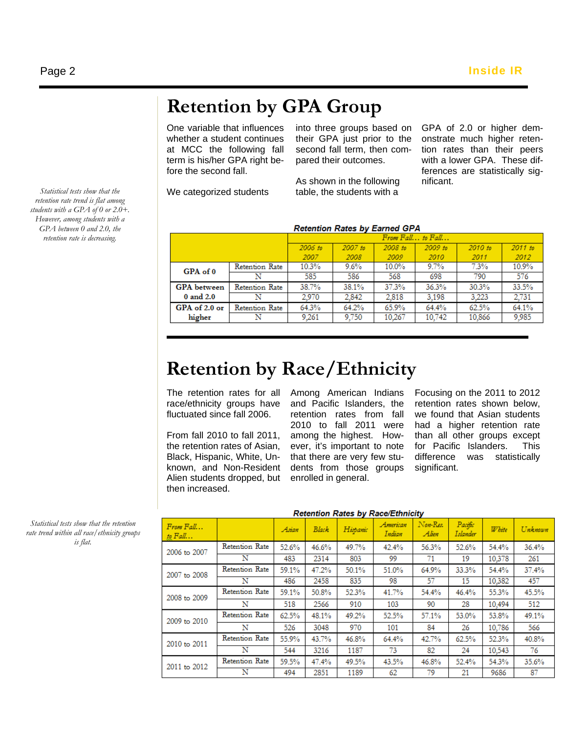# **Retention by GPA Group**

One variable that influences whether a student continues at MCC the following fall term is his/her GPA right before the second fall.

into three groups based on their GPA just prior to the second fall term, then compared their outcomes.

As shown in the following table, the students with a

GPA of 2.0 or higher demonstrate much higher retention rates than their peers with a lower GPA. These differences are statistically significant.

We categorized students

**Retention Rates by Earned GPA** From Fall... to Fall... 2006 to  $2007$  to 2008 to  $2009$  to 2010 to 2011 to 2010 2011 2012 2007 2008 2009 **Retention Rate**  $10.3%$  $9.6%$ 10.0%  $9.7%$  $7.3%$  $10.9%$ GPA of 0 585 698 790 576  $\overline{\mathbf{N}}$ 586 568 38.7% 37.3% 30.3% 33.5% **GPA** between Retention Rate 38.1% 36.3% 0 and 2.0  $\overline{\mathbf{N}}$ 2,970 2,842 2,818 3,198 3.223 2,731 65.9%  $62.5%$ GPA of 2.0 or Retention Rate 64.2% 64.3% 64.4% 64.1%  $\frac{1}{9,750}$ 10,742 10,866  $\overline{\text{N}}$ 9,261 10,267 9,985 higher

## **Retention by Race/Ethnicity**

The retention rates for all race/ethnicity groups have fluctuated since fall 2006.

From fall 2010 to fall 2011, the retention rates of Asian, Black, Hispanic, White, Unknown, and Non-Resident Alien students dropped, but then increased.

Among American Indians and Pacific Islanders, the retention rates from fall 2010 to fall 2011 were among the highest. However, it's important to note that there are very few students from those groups enrolled in general.

Focusing on the 2011 to 2012 retention rates shown below, we found that Asian students had a higher retention rate than all other groups except for Pacific Islanders. This difference was statistically significant.

| Retention Rates by Race/Lumicity |                |       |              |          |                    |                   |                            |               |         |
|----------------------------------|----------------|-------|--------------|----------|--------------------|-------------------|----------------------------|---------------|---------|
| $From$ $Fall$<br>to $Fall$       |                | Asian | <b>Black</b> | Hispanic | American<br>Indian | Non-Res.<br>Alien | Pacific<br><b>Islander</b> | <b>W</b> bite | Unknown |
| 2006 to 2007                     | Retention Rate | 52.6% | 46.6%        | 49.7%    | 42.4%              | 56.3%             | 52.6%                      | 54.4%         | 36.4%   |
|                                  | N              | 483   | 2314         | 803      | 99                 | 71                | 19                         | 10,378        | 261     |
| 2007 to 2008                     | Retention Rate | 59.1% | 47.2%        | 50.1%    | 51.0%              | 64.9%             | 33.3%                      | 54.4%         | 37.4%   |
|                                  | N              | 486   | 2458         | 835      | 98                 | 57                | 15                         | 10.382        | 457     |
| 2008 to 2009                     | Retention Rate | 59.1% | 50.8%        | 52.3%    | 41.7%              | 54.4%             | 46.4%                      | 55.3%         | 45.5%   |
|                                  | N              | 518   | 2566         | 910      | 103                | 90                | 28                         | 10.494        | 512     |
| 2009 to 2010                     | Retention Rate | 62.5% | 48.1%        | 49.2%    | 52.5%              | 57.1%             | 53.0%                      | 53.8%         | 49.1%   |
|                                  | N              | 526   | 3048         | 970      | 101                | 84                | 26                         | 10,786        | 566     |
| 2010 to 2011                     | Retention Rate | 55.9% | 43.7%        | 46.8%    | 64.4%              | 42.7%             | 62.5%                      | 52.3%         | 40.8%   |
|                                  | N              | 544   | 3216         | 1187     | 73                 | 82                | 24                         | 10,543        | 76      |
| 2011 to 2012                     | Retention Rate | 59.5% | 47.4%        | 49.5%    | 43.5%              | 46.8%             | 52.4%                      | 54.3%         | 35.6%   |
|                                  | N              | 494   | 2851         | 1189     | 62                 | 79                | 21                         | 9686          | 87      |

Dotantion Dates by Dogo/Ethnicity

*Statistical tests show that the retention rate trend within all race/ethnicity groups is flat.* 

 *students with a GPA of 0 or 2.0+. Statistical tests show that the retention rate trend is flat among However, among students with a GPA between 0 and 2.0, the retention rate is decreasing.*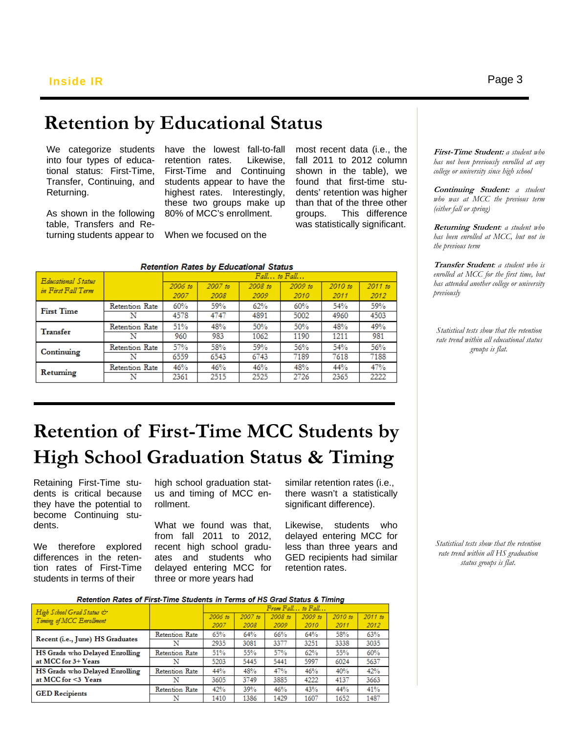## **Retention by Educational Status**

We categorize students into four types of educational status: First-Time, Transfer, Continuing, and Returning.

As shown in the following table, Transfers and Returning students appear to

have the lowest fall-to-fall retention rates. Likewise, First-Time and Continuing students appear to have the highest rates. Interestingly, these two groups make up 80% of MCC's enrollment.

most recent data (i.e., the fall 2011 to 2012 column shown in the table), we found that first-time students' retention was higher than that of the three other groups. This difference was statistically significant.

**Retention Rates by Educational Status**  $Fall...$  to  $Fall...$ **Educational Status**  $2007$  to 2008 to 2009 to 2010 to 2011 to  $2006$  to in First Fall Term 2007 2008 2009 2010 2011 2012 59%  $62%$ 60% 54% 59% Retention Rate 60% **First Time** Ñ 4578 4747 4891 5002 4960 4503 Retention Rate 51% 48% 50% 50% 48% 49% Transfer  $\overline{\mathbf{N}}$ 960 983 1062 1190 1211 981 Retention Rate 57% 58% 59% 56% 54% 56% Continuing 6743 7189 7188 Ñ 6559 6543 7618 48% 47% Retention Rate 46% 46% 46% 44% Returning 2525 2726  $\overline{\text{N}}$ 2361 2515 2365 2222

When we focused on the

**First-Time Student:** *a student who has not been previously enrolled at any college or university since high school* 

**Continuing Student:** *a student who was at MCC the previous term (either fall or spring)* 

**Returning Student***: a student who has been enrolled at MCC, but not in the previous term* 

**Transfer Student***: a student who is enrolled at MCC for the first time, but has attended another college or university previously* 

*Statistical tests show that the retention rate trend within all educational status groups is flat.* 

# **Retention of First-Time MCC Students by High School Graduation Status & Timing**

 become Continuing stu- dents. Retaining First-Time students is critical because they have the potential to

We therefore explored differences in the retention rates of First-Time students in terms of their

high school graduation status and timing of MCC enrollment.

What we found was that, from fall 2011 to 2012, recent high school graduates and students who delayed entering MCC for three or more years had

similar retention rates (i.e., there wasn't a statistically significant difference).

Likewise, students who delayed entering MCC for less than three years and GED recipients had similar retention rates.

Retention Rates of First-Time Students in Terms of HS Grad Status & Timing

| High School Grad Status &        |                | $1.7079$ $1.441$ , $10.1441$ , $11.70$ |           |         |           |           |           |
|----------------------------------|----------------|----------------------------------------|-----------|---------|-----------|-----------|-----------|
| Timing of MCC Enrollment         |                | 2006 to                                | $2007$ to | 2008 to | $2009$ to | $2010$ to | $2011$ to |
|                                  |                | 2007                                   | 2008      | 2009    | 2010      | 2011      | 2012      |
|                                  | Retention Rate | 65%                                    | 64%       | 66%     | 64%       | 58%       | 63%       |
| Recent (i.e., June) HS Graduates | N              | 2935                                   | 3081      | 3377    | 3251      | 3338      | 3035      |
| HS Grads who Delayed Enrolling   | Retention Rate | 51%                                    | 55%       | 57%     | 62%       | 55%       | 60%       |
| at MCC for 3+ Years              | N              | 5203                                   | 5445      | 5441    | 5997      | 6024      | 5637      |
| HS Grads who Delayed Enrolling   | Retention Rate | 44%                                    | 48%       | 47%     | 46%       | 40%       | 42%       |
| at MCC for <3 Years              | N              | 3605                                   | 3749      | 3885    | 4222      | 4137      | 3663      |
| <b>GED</b> Recipients            | Retention Rate | 42%                                    | 39%       | 46%     | 43%       | 44%       | 41%       |
|                                  | N              | 1410                                   | 1386      | 1429    | 1607      | 1652      | 1487      |

*Statistical tests show that the retention rate trend within all HS graduation status groups is flat.*